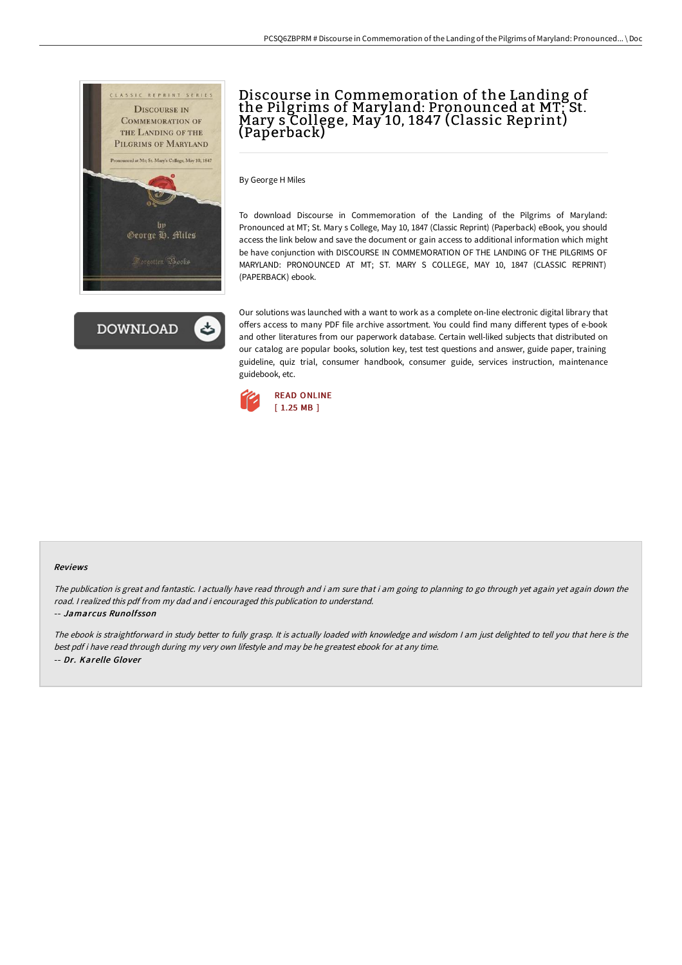



# Discourse in Commemoration of the Landing of the Pilgrims of Maryland: Pronounced at MT; St.<br>Mary s College, May 10, 1847 (Classic Reprint) (Paperback)

By George H Miles

To download Discourse in Commemoration of the Landing of the Pilgrims of Maryland: Pronounced at MT; St. Mary s College, May 10, 1847 (Classic Reprint) (Paperback) eBook, you should access the link below and save the document or gain access to additional information which might be have conjunction with DISCOURSE IN COMMEMORATION OF THE LANDING OF THE PILGRIMS OF MARYLAND: PRONOUNCED AT MT; ST. MARY S COLLEGE, MAY 10, 1847 (CLASSIC REPRINT) (PAPERBACK) ebook.

Our solutions was launched with a want to work as a complete on-line electronic digital library that offers access to many PDF file archive assortment. You could find many different types of e-book and other literatures from our paperwork database. Certain well-liked subjects that distributed on our catalog are popular books, solution key, test test questions and answer, guide paper, training guideline, quiz trial, consumer handbook, consumer guide, services instruction, maintenance guidebook, etc.



#### Reviews

The publication is great and fantastic. <sup>I</sup> actually have read through and i am sure that i am going to planning to go through yet again yet again down the road. <sup>I</sup> realized this pdf from my dad and i encouraged this publication to understand.

### -- Jamarcus Runolfsson

The ebook is straightforward in study better to fully grasp. It is actually loaded with knowledge and wisdom <sup>I</sup> am just delighted to tell you that here is the best pdf i have read through during my very own lifestyle and may be he greatest ebook for at any time. -- Dr. Karelle Glover